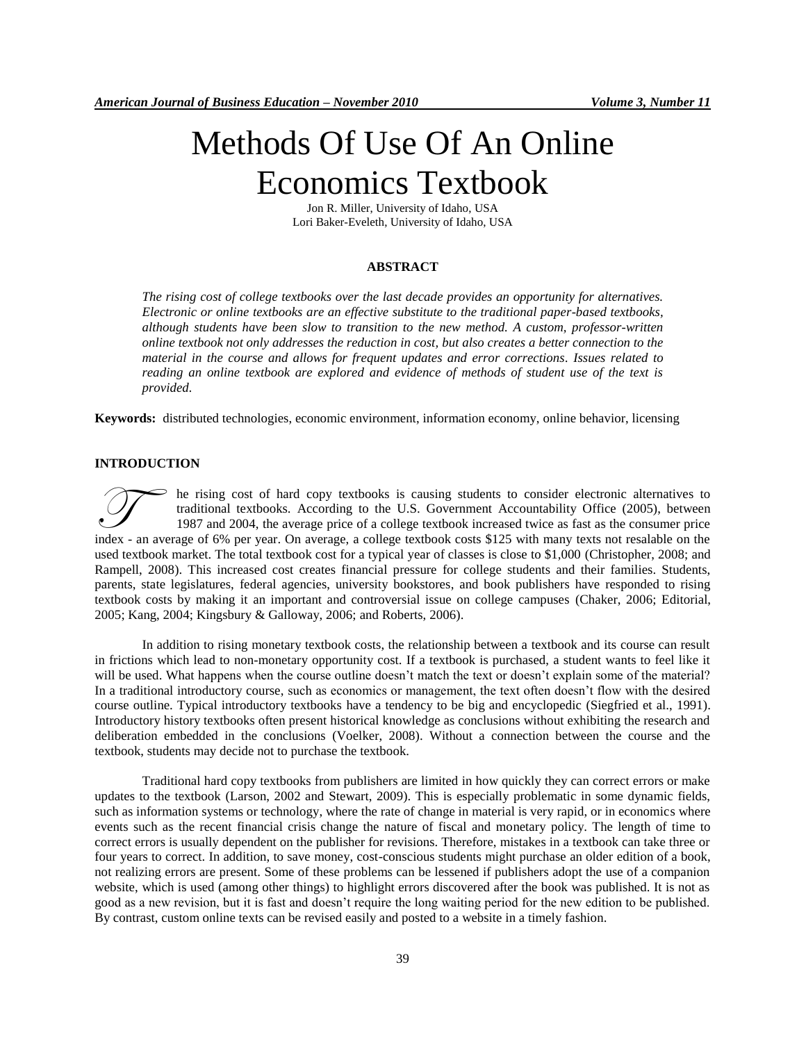# Methods Of Use Of An Online Economics Textbook

Jon R. Miller, University of Idaho, USA Lori Baker-Eveleth, University of Idaho, USA

#### **ABSTRACT**

*The rising cost of college textbooks over the last decade provides an opportunity for alternatives. Electronic or online textbooks are an effective substitute to the traditional paper-based textbooks, although students have been slow to transition to the new method. A custom, professor-written online textbook not only addresses the reduction in cost, but also creates a better connection to the material in the course and allows for frequent updates and error corrections. Issues related to reading an online textbook are explored and evidence of methods of student use of the text is provided.*

**Keywords:** distributed technologies, economic environment, information economy, online behavior, licensing

## **INTRODUCTION**

he rising cost of hard copy textbooks is causing students to consider electronic alternatives to traditional textbooks. According to the U.S. Government Accountability Office (2005), between 1987 and 2004, the average price of a college textbook increased twice as fast as the consumer price In the rising cost of hard copy textbooks is causing students to consider electronic alternatives to traditional textbooks. According to the U.S. Government Accountability Office (2005), between 1987 and 2004, the average used textbook market. The total textbook cost for a typical year of classes is close to \$1,000 (Christopher, 2008; and Rampell, 2008). This increased cost creates financial pressure for college students and their families. Students, parents, state legislatures, federal agencies, university bookstores, and book publishers have responded to rising textbook costs by making it an important and controversial issue on college campuses (Chaker, 2006; Editorial, 2005; Kang, 2004; Kingsbury & Galloway, 2006; and Roberts, 2006).

In addition to rising monetary textbook costs, the relationship between a textbook and its course can result in frictions which lead to non-monetary opportunity cost. If a textbook is purchased, a student wants to feel like it will be used. What happens when the course outline doesn't match the text or doesn't explain some of the material? In a traditional introductory course, such as economics or management, the text often doesn"t flow with the desired course outline. Typical introductory textbooks have a tendency to be big and encyclopedic (Siegfried et al., 1991). Introductory history textbooks often present historical knowledge as conclusions without exhibiting the research and deliberation embedded in the conclusions (Voelker, 2008). Without a connection between the course and the textbook, students may decide not to purchase the textbook.

Traditional hard copy textbooks from publishers are limited in how quickly they can correct errors or make updates to the textbook (Larson, 2002 and Stewart, 2009). This is especially problematic in some dynamic fields, such as information systems or technology, where the rate of change in material is very rapid, or in economics where events such as the recent financial crisis change the nature of fiscal and monetary policy. The length of time to correct errors is usually dependent on the publisher for revisions. Therefore, mistakes in a textbook can take three or four years to correct. In addition, to save money, cost-conscious students might purchase an older edition of a book, not realizing errors are present. Some of these problems can be lessened if publishers adopt the use of a companion website, which is used (among other things) to highlight errors discovered after the book was published. It is not as good as a new revision, but it is fast and doesn"t require the long waiting period for the new edition to be published. By contrast, custom online texts can be revised easily and posted to a website in a timely fashion.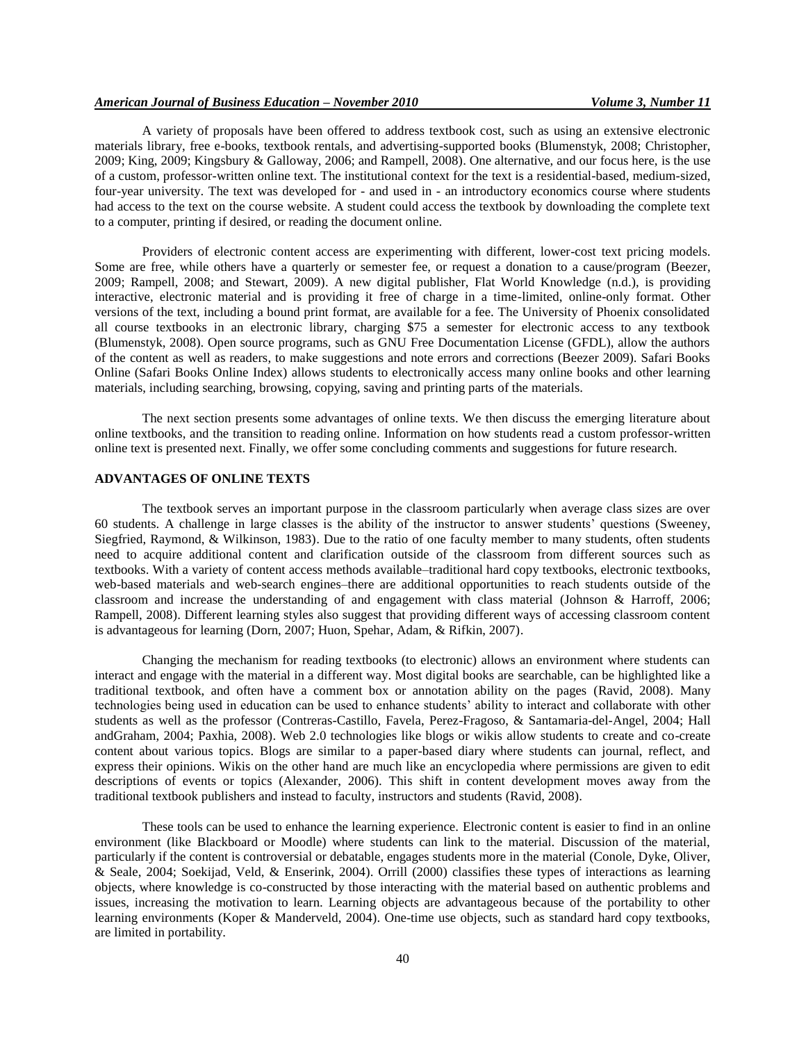## *American Journal of Business Education – November 2010 Volume 3, Number 11*

A variety of proposals have been offered to address textbook cost, such as using an extensive electronic materials library, free e-books, textbook rentals, and advertising-supported books (Blumenstyk, 2008; Christopher, 2009; King, 2009; Kingsbury & Galloway, 2006; and Rampell, 2008). One alternative, and our focus here, is the use of a custom, professor-written online text. The institutional context for the text is a residential-based, medium-sized, four-year university. The text was developed for - and used in - an introductory economics course where students had access to the text on the course website. A student could access the textbook by downloading the complete text to a computer, printing if desired, or reading the document online.

Providers of electronic content access are experimenting with different, lower-cost text pricing models. Some are free, while others have a quarterly or semester fee, or request a donation to a cause/program (Beezer, 2009; Rampell, 2008; and Stewart, 2009). A new digital publisher, Flat World Knowledge (n.d.), is providing interactive, electronic material and is providing it free of charge in a time-limited, online-only format. Other versions of the text, including a bound print format, are available for a fee. The University of Phoenix consolidated all course textbooks in an electronic library, charging \$75 a semester for electronic access to any textbook (Blumenstyk, 2008). Open source programs, such as GNU Free Documentation License (GFDL), allow the authors of the content as well as readers, to make suggestions and note errors and corrections (Beezer 2009). Safari Books Online (Safari Books Online Index) allows students to electronically access many online books and other learning materials, including searching, browsing, copying, saving and printing parts of the materials.

The next section presents some advantages of online texts. We then discuss the emerging literature about online textbooks, and the transition to reading online. Information on how students read a custom professor-written online text is presented next. Finally, we offer some concluding comments and suggestions for future research.

#### **ADVANTAGES OF ONLINE TEXTS**

The textbook serves an important purpose in the classroom particularly when average class sizes are over 60 students. A challenge in large classes is the ability of the instructor to answer students" questions (Sweeney, Siegfried, Raymond, & Wilkinson, 1983). Due to the ratio of one faculty member to many students, often students need to acquire additional content and clarification outside of the classroom from different sources such as textbooks. With a variety of content access methods available–traditional hard copy textbooks, electronic textbooks, web-based materials and web-search engines–there are additional opportunities to reach students outside of the classroom and increase the understanding of and engagement with class material (Johnson & Harroff, 2006; Rampell, 2008). Different learning styles also suggest that providing different ways of accessing classroom content is advantageous for learning (Dorn, 2007; Huon, Spehar, Adam, & Rifkin, 2007).

Changing the mechanism for reading textbooks (to electronic) allows an environment where students can interact and engage with the material in a different way. Most digital books are searchable, can be highlighted like a traditional textbook, and often have a comment box or annotation ability on the pages (Ravid, 2008). Many technologies being used in education can be used to enhance students" ability to interact and collaborate with other students as well as the professor (Contreras-Castillo, Favela, Perez-Fragoso, & Santamaria-del-Angel, 2004; Hall andGraham, 2004; Paxhia, 2008). Web 2.0 technologies like blogs or wikis allow students to create and co-create content about various topics. Blogs are similar to a paper-based diary where students can journal, reflect, and express their opinions. Wikis on the other hand are much like an encyclopedia where permissions are given to edit descriptions of events or topics (Alexander, 2006). This shift in content development moves away from the traditional textbook publishers and instead to faculty, instructors and students (Ravid, 2008).

These tools can be used to enhance the learning experience. Electronic content is easier to find in an online environment (like Blackboard or Moodle) where students can link to the material. Discussion of the material, particularly if the content is controversial or debatable, engages students more in the material (Conole, Dyke, Oliver, & Seale, 2004; Soekijad, Veld, & Enserink, 2004). Orrill (2000) classifies these types of interactions as learning objects, where knowledge is co-constructed by those interacting with the material based on authentic problems and issues, increasing the motivation to learn. Learning objects are advantageous because of the portability to other learning environments (Koper & Manderveld, 2004). One-time use objects, such as standard hard copy textbooks, are limited in portability.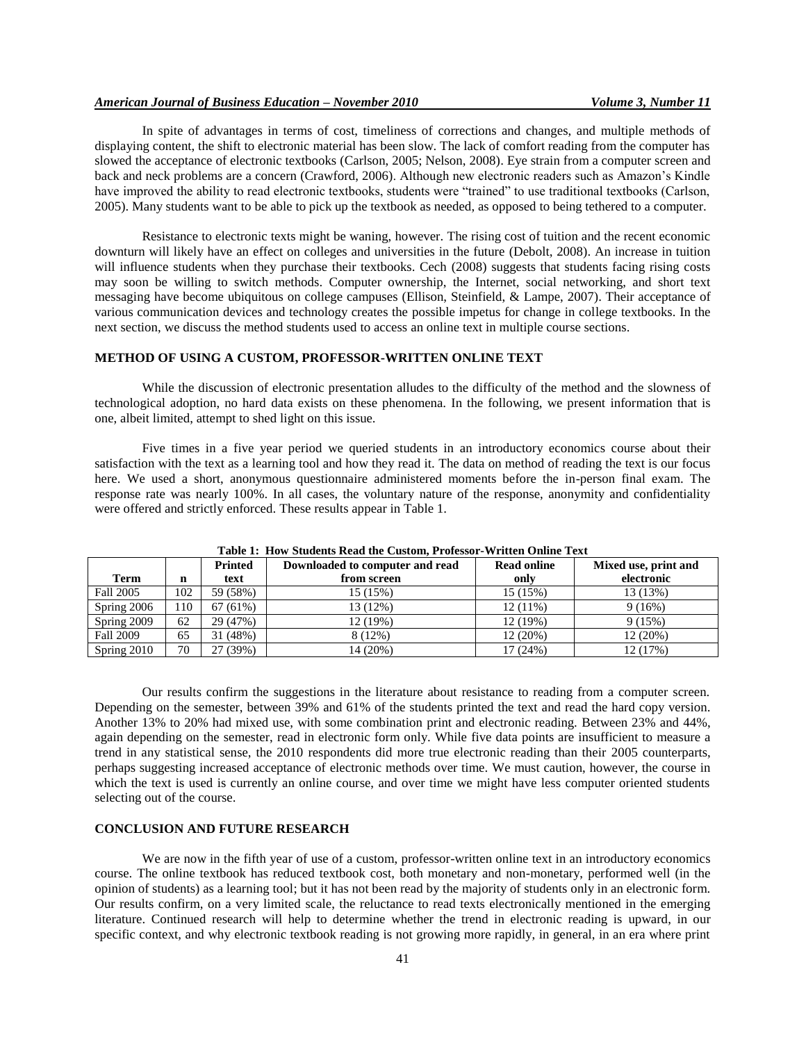In spite of advantages in terms of cost, timeliness of corrections and changes, and multiple methods of displaying content, the shift to electronic material has been slow. The lack of comfort reading from the computer has slowed the acceptance of electronic textbooks (Carlson, 2005; Nelson, 2008). Eye strain from a computer screen and back and neck problems are a concern (Crawford, 2006). Although new electronic readers such as Amazon"s Kindle have improved the ability to read electronic textbooks, students were "trained" to use traditional textbooks (Carlson, 2005). Many students want to be able to pick up the textbook as needed, as opposed to being tethered to a computer.

Resistance to electronic texts might be waning, however. The rising cost of tuition and the recent economic downturn will likely have an effect on colleges and universities in the future (Debolt, 2008). An increase in tuition will influence students when they purchase their textbooks. Cech (2008) suggests that students facing rising costs may soon be willing to switch methods. Computer ownership, the Internet, social networking, and short text messaging have become ubiquitous on college campuses (Ellison, Steinfield, & Lampe, 2007). Their acceptance of various communication devices and technology creates the possible impetus for change in college textbooks. In the next section, we discuss the method students used to access an online text in multiple course sections.

## **METHOD OF USING A CUSTOM, PROFESSOR-WRITTEN ONLINE TEXT**

While the discussion of electronic presentation alludes to the difficulty of the method and the slowness of technological adoption, no hard data exists on these phenomena. In the following, we present information that is one, albeit limited, attempt to shed light on this issue.

Five times in a five year period we queried students in an introductory economics course about their satisfaction with the text as a learning tool and how they read it. The data on method of reading the text is our focus here. We used a short, anonymous questionnaire administered moments before the in-person final exam. The response rate was nearly 100%. In all cases, the voluntary nature of the response, anonymity and confidentiality were offered and strictly enforced. These results appear in Table 1.

| Table 11 1104 Diguethes Read the Castolin Froressor ++Fitten Omnie Feat |     |          |                                 |                    |                      |
|-------------------------------------------------------------------------|-----|----------|---------------------------------|--------------------|----------------------|
|                                                                         |     | Printed  | Downloaded to computer and read | <b>Read online</b> | Mixed use, print and |
| Term                                                                    | n   | text     | from screen                     | only               | electronic           |
| Fall 2005                                                               | 102 | 59 (58%) | 15(15%)                         | 15(15%)            | 13 (13%)             |
| Spring 2006                                                             | 10  | 67(61%)  | 13(12%)                         | $12(11\%)$         | 9(16%)               |
| Spring 2009                                                             | 62  | 29 (47%) | 12 (19%)                        | 12 (19%)           | 9(15%)               |
| <b>Fall 2009</b>                                                        | 65  | 31 (48%) | 8 (12%)                         | 12(20%)            | 12(20%)              |
| Spring 2010                                                             | 70  | 27 (39%) | 14 (20%)                        | 17 (24%)           | 12 (17%)             |

**Table 1: How Students Read the Custom, Professor-Written Online Text**

Our results confirm the suggestions in the literature about resistance to reading from a computer screen. Depending on the semester, between 39% and 61% of the students printed the text and read the hard copy version. Another 13% to 20% had mixed use, with some combination print and electronic reading. Between 23% and 44%, again depending on the semester, read in electronic form only. While five data points are insufficient to measure a trend in any statistical sense, the 2010 respondents did more true electronic reading than their 2005 counterparts, perhaps suggesting increased acceptance of electronic methods over time. We must caution, however, the course in which the text is used is currently an online course, and over time we might have less computer oriented students selecting out of the course.

## **CONCLUSION AND FUTURE RESEARCH**

We are now in the fifth year of use of a custom, professor-written online text in an introductory economics course. The online textbook has reduced textbook cost, both monetary and non-monetary, performed well (in the opinion of students) as a learning tool; but it has not been read by the majority of students only in an electronic form. Our results confirm, on a very limited scale, the reluctance to read texts electronically mentioned in the emerging literature. Continued research will help to determine whether the trend in electronic reading is upward, in our specific context, and why electronic textbook reading is not growing more rapidly, in general, in an era where print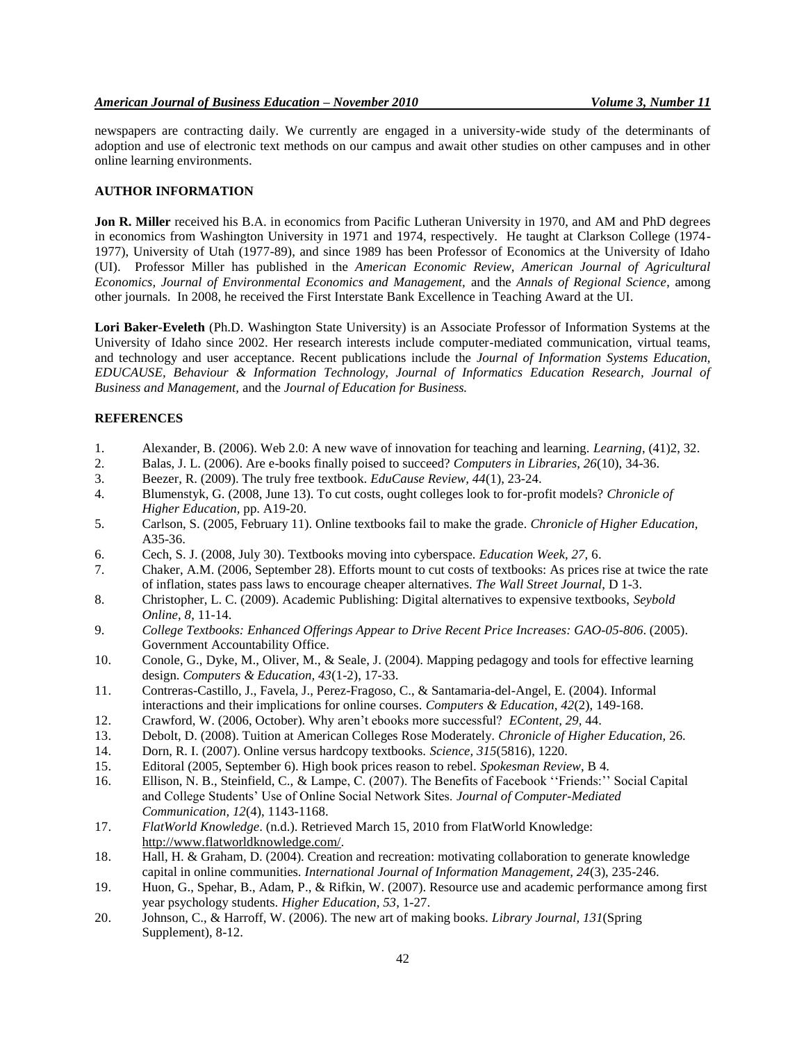newspapers are contracting daily. We currently are engaged in a university-wide study of the determinants of adoption and use of electronic text methods on our campus and await other studies on other campuses and in other online learning environments.

# **AUTHOR INFORMATION**

**Jon R. Miller** received his B.A. in economics from Pacific Lutheran University in 1970, and AM and PhD degrees in economics from Washington University in 1971 and 1974, respectively. He taught at Clarkson College (1974- 1977), University of Utah (1977-89), and since 1989 has been Professor of Economics at the University of Idaho (UI). Professor Miller has published in the *American Economic Review, American Journal of Agricultural Economics, Journal of Environmental Economics and Management,* and the *Annals of Regional Science*, among other journals. In 2008, he received the First Interstate Bank Excellence in Teaching Award at the UI.

**Lori Baker-Eveleth** (Ph.D. Washington State University) is an Associate Professor of Information Systems at the University of Idaho since 2002. Her research interests include computer-mediated communication, virtual teams, and technology and user acceptance. Recent publications include the *Journal of Information Systems Education, EDUCAUSE, Behaviour & Information Technology, Journal of Informatics Education Research, Journal of Business and Management,* and the *Journal of Education for Business.*

# **REFERENCES**

- 1. Alexander, B. (2006). Web 2.0: A new wave of innovation for teaching and learning. *Learning*, (41)2, 32.
- 2. Balas, J. L. (2006). Are e-books finally poised to succeed? *Computers in Libraries, 26*(10), 34-36.
- 3. Beezer, R. (2009). The truly free textbook. *EduCause Review, 44*(1), 23-24.
- 4. Blumenstyk, G. (2008, June 13). To cut costs, ought colleges look to for-profit models? *Chronicle of Higher Education,* pp. A19-20.
- 5. Carlson, S. (2005, February 11). Online textbooks fail to make the grade*. Chronicle of Higher Education,* A35-36.
- 6. Cech, S. J. (2008, July 30). Textbooks moving into cyberspace. *Education Week, 27,* 6.
- 7. Chaker, A.M. (2006, September 28). Efforts mount to cut costs of textbooks: As prices rise at twice the rate of inflation, states pass laws to encourage cheaper alternatives. *The Wall Street Journal*, D 1-3.
- 8. Christopher, L. C. (2009). Academic Publishing: Digital alternatives to expensive textbooks, *Seybold Online*, *8*, 11-14.
- 9. *College Textbooks: Enhanced Offerings Appear to Drive Recent Price Increases: GAO-05-806*. (2005). Government Accountability Office.
- 10. Conole, G., Dyke, M., Oliver, M., & Seale, J. (2004). Mapping pedagogy and tools for effective learning design. *Computers & Education, 43*(1-2), 17-33.
- 11. Contreras-Castillo, J., Favela, J., Perez-Fragoso, C., & Santamaria-del-Angel, E. (2004). Informal interactions and their implications for online courses. *Computers & Education, 42*(2), 149-168.
- 12. Crawford, W. (2006, October). Why aren"t ebooks more successful? *EContent, 29,* 44.
- 13. Debolt, D. (2008). Tuition at American Colleges Rose Moderately*. Chronicle of Higher Education,* 26.
- 14. Dorn, R. I. (2007). Online versus hardcopy textbooks. *Science, 315*(5816), 1220.
- 15. Editoral (2005, September 6). High book prices reason to rebel. *Spokesman Review*, B 4.
- 16. Ellison, N. B., Steinfield, C., & Lampe, C. (2007). The Benefits of Facebook "Friends:" Social Capital and College Students" Use of Online Social Network Sites. *Journal of Computer-Mediated Communication, 12*(4), 1143-1168.
- 17. *FlatWorld Knowledge*. (n.d.). Retrieved March 15, 2010 from FlatWorld Knowledge: [http://www.flatworldknowledge.com/.](http://www.flatworldknowledge.com/)
- 18. Hall, H. & Graham, D. (2004). Creation and recreation: motivating collaboration to generate knowledge capital in online communities. *International Journal of Information Management, 24*(3), 235-246.
- 19. Huon, G., Spehar, B., Adam, P., & Rifkin, W. (2007). Resource use and academic performance among first year psychology students. *Higher Education, 53*, 1-27.
- 20. Johnson, C., & Harroff, W. (2006). The new art of making books. *Library Journal, 131*(Spring Supplement), 8-12.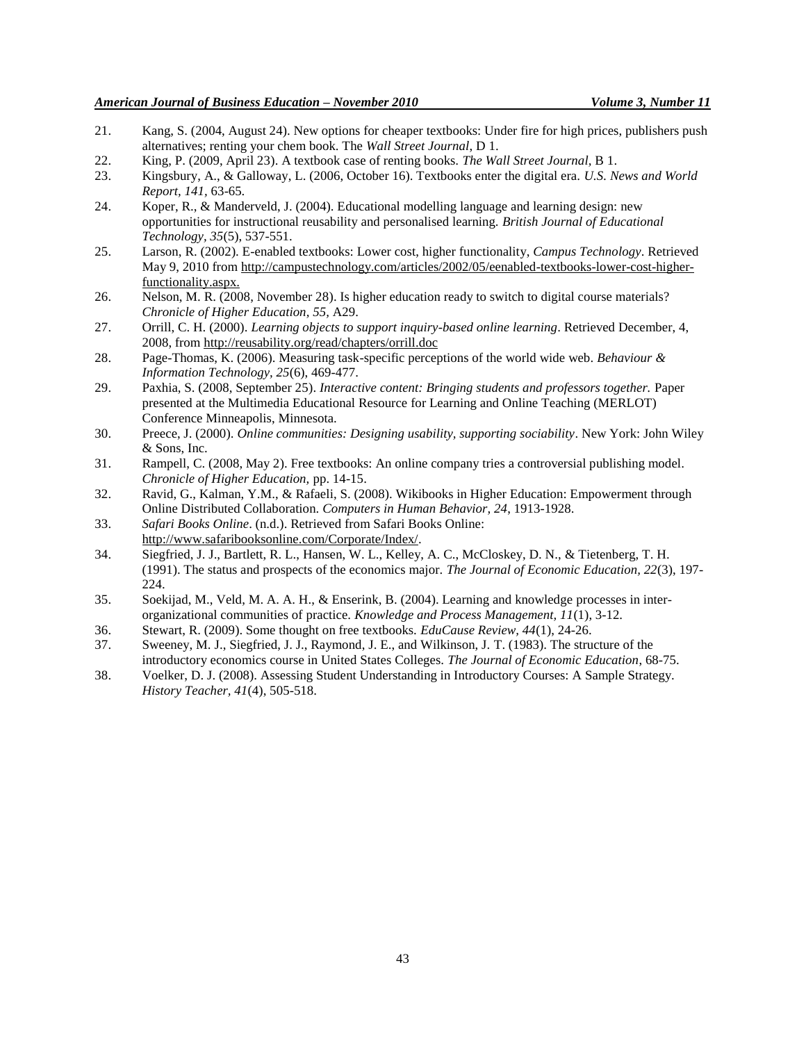- 21. Kang, S. (2004, August 24). New options for cheaper textbooks: Under fire for high prices, publishers push alternatives; renting your chem book. The *Wall Street Journal*, D 1.
- 22. King, P. (2009, April 23). A textbook case of renting books*. The Wall Street Journal,* B 1.
- 23. Kingsbury, A., & Galloway, L. (2006, October 16). Textbooks enter the digital era. *U.S. News and World Report, 141,* 63-65.
- 24. Koper, R., & Manderveld, J. (2004). Educational modelling language and learning design: new opportunities for instructional reusability and personalised learning. *British Journal of Educational Technology, 35*(5), 537-551.
- 25. Larson, R. (2002). E-enabled textbooks: Lower cost, higher functionality, *Campus Technology*. Retrieved May 9, 2010 from http://campustechnology.com/articles/2002/05/eenabled-textbooks-lower-cost-higherfunctionality.aspx.
- 26. Nelson, M. R. (2008, November 28). Is higher education ready to switch to digital course materials? *Chronicle of Higher Education, 55,* A29.
- 27. Orrill, C. H. (2000). *Learning objects to support inquiry-based online learning*. Retrieved December, 4, 2008, from<http://reusability.org/read/chapters/orrill.doc>
- 28. Page-Thomas, K. (2006). Measuring task-specific perceptions of the world wide web. *Behaviour & Information Technology, 25*(6), 469-477.
- 29. Paxhia, S. (2008, September 25). *Interactive content: Bringing students and professors together.* Paper presented at the Multimedia Educational Resource for Learning and Online Teaching (MERLOT) Conference Minneapolis, Minnesota.
- 30. Preece, J. (2000). *Online communities: Designing usability, supporting sociability*. New York: John Wiley & Sons, Inc.
- 31. Rampell, C. (2008, May 2). Free textbooks: An online company tries a controversial publishing model*. Chronicle of Higher Education,* pp. 14-15.
- 32. Ravid, G., Kalman, Y.M., & Rafaeli, S. (2008). Wikibooks in Higher Education: Empowerment through Online Distributed Collaboration. *Computers in Human Behavior, 24*, 1913-1928.
- 33. *Safari Books Online*. (n.d.). Retrieved from Safari Books Online: [http://www.safaribooksonline.com/Corporate/Index/.](http://www.safaribooksonline.com/Corporate/Index/)
- 34. Siegfried, J. J., Bartlett, R. L., Hansen, W. L., Kelley, A. C., McCloskey, D. N., & Tietenberg, T. H. (1991). The status and prospects of the economics major. *The Journal of Economic Education, 22*(3), 197- 224.
- 35. Soekijad, M., Veld, M. A. A. H., & Enserink, B. (2004). Learning and knowledge processes in interorganizational communities of practice. *Knowledge and Process Management, 11*(1), 3-12.
- 36. Stewart, R. (2009). Some thought on free textbooks. *EduCause Review, 44*(1), 24-26.
- 37. Sweeney, M. J., Siegfried, J. J., Raymond, J. E., and Wilkinson, J. T. (1983). The structure of the introductory economics course in United States Colleges. *The Journal of Economic Education*, 68-75.
- 38. Voelker, D. J. (2008). Assessing Student Understanding in Introductory Courses: A Sample Strategy. *History Teacher, 41*(4), 505-518.